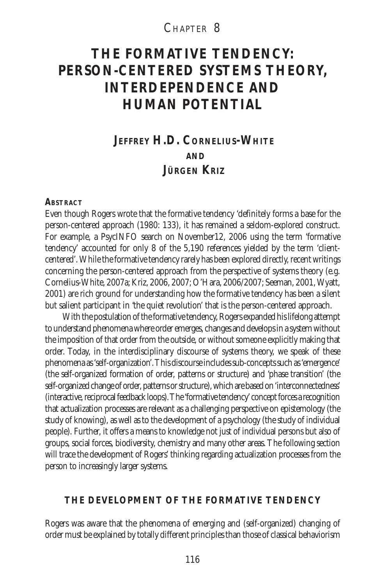# CHAPTER 8

# **THE FORMATIVE TENDENCY: PERSON-CENTERED SYSTEMS THEORY, INTERDEPENDENCE AND HUMAN POTENTIAL**

# **JEFFREY H.D. CORNELIUS-WHITE AND JÜRGEN KRIZ**

#### **ABSTRACT**

Even though Rogers wrote that the formative tendency 'definitely forms a base for the person-centered approach (1980: 133), it has remained a seldom-explored construct. For example, a PsycINFO search on November12, 2006 using the term 'formative tendency' accounted for only 8 of the 5,190 references yielded by the term 'clientcentered'. While the formative tendency rarely has been explored directly, recent writings concerning the person-centered approach from the perspective of systems theory (e.g. Cornelius-White, 2007a; Kriz, 2006, 2007; O'Hara, 2006/2007; Seeman, 2001, Wyatt, 2001) are rich ground for understanding how the formative tendency has been a silent but salient participant in 'the quiet revolution' that is the person-centered approach.

With the postulation of the formative tendency, Rogers expanded his lifelong attempt to understand phenomena where order emerges, changes and develops in a system without the imposition of that order from the outside, or without someone explicitly making that order. Today, in the interdisciplinary discourse of systems theory, we speak of these phenomena as 'self-organization'. This discourse includes sub-concepts such as 'emergence' (the self-organized formation of order, patterns or structure) and 'phase transition' (the self-organized change of order, patterns or structure), which are based on 'interconnectedness' (interactive, reciprocal feedback loops). The 'formative tendency' concept forces a recognition that actualization processes are relevant as a challenging perspective on epistemology (the study of knowing), as well as to the development of a psychology (the study of individual people). Further, it offers a means to knowledge not just of individual persons but also of groups, social forces, biodiversity, chemistry and many other areas. The following section will trace the development of Rogers' thinking regarding actualization processes from the person to increasingly larger systems.

#### **THE DEVELOPMENT OF THE FORMATIVE TENDENCY**

Rogers was aware that the phenomena of emerging and (self-organized) changing of order must be explained by totally different principles than those of classical behaviorism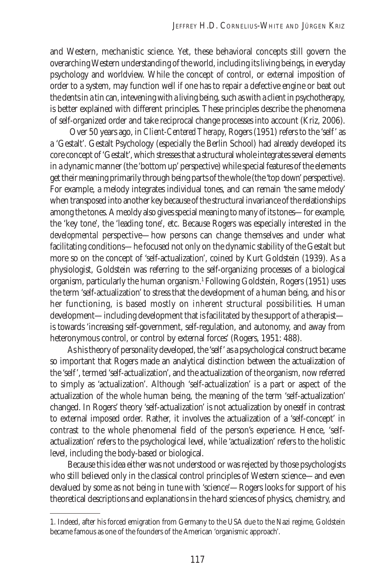and Western, mechanistic science. Yet, these behavioral concepts still govern the overarching Western understanding of the world, including its living beings, in everyday psychology and worldview. While the concept of control, or external imposition of order to a system, may function well if one has to repair a defective engine or beat out the dents in a tin can, intevening with a living being, such as with a client in psychotherapy, is better explained with different principles. These principles describe the phenomena of self-organized order and take reciprocal change processes into account (Kriz, 2006).

 Over 50 years ago, in *Client-Centered Therapy*, Rogers (1951) refers to the 'self' as a 'Gestalt'. Gestalt Psychology (especially the Berlin School) had already developed its core concept of 'Gestalt', which stresses that a structural whole integrates several elements in a dynamic manner (the 'bottom up' perspective) while special features of the elements get their meaning primarily through being parts of the whole (the 'top down' perspective). For example, a melody integrates individual tones, and can remain 'the same melody' when transposed into another key because of the structural invariance of the relationships among the tones. A meoldy also gives special meaning to many of its tones—for example, the 'key tone', the 'leading tone', etc. Because Rogers was especially interested in the *developmental* perspective—how persons can change themselves and under what facilitating conditions—he focused not only on the dynamic stability of the Gestalt but more so on the concept of 'self-actualization', coined by Kurt Goldstein (1939). As a physiologist, Goldstein was referring to the self-organizing processes of a biological organism, particularly the human organism.1 Following Goldstein, Rogers (1951) uses the term 'self-actualization' to stress that the development of a human being, and his or her functioning, is based mostly on *inherent* structural possibilities. Human development—including development that is facilitated by the support of a therapist is towards 'increasing self-government, self-regulation, and autonomy, and away from heteronymous control, or control by external forces' (Rogers, 1951: 488).

As his theory of personality developed, the 'self' as a psychological construct became so important that Rogers made an analytical distinction between the actualization of the 'self', termed 'self-actualization', and the actualization of the organism, now referred to simply as 'actualization'. Although 'self-actualization' is a part or aspect of the actualization of the whole human being, the meaning of the term 'self-actualization' changed. In Rogers' theory 'self-actualization' is not actualization by one*self* in contrast to external imposed order. Rather, it involves the actualization of a 'self-concept' in contrast to the whole phenomenal field of the person's experience. Hence, 'selfactualization' refers to the psychological level, while 'actualization' refers to the holistic level, including the body-based or biological.

Because this idea either was not understood or was rejected by those psychologists who still believed only in the classical control principles of Western science—and even devalued by some as not being in tune with 'science'—Rogers looks for support of his theoretical descriptions and explanations in the hard sciences of physics, chemistry, and

<sup>1.</sup> Indeed, after his forced emigration from Germany to the USA due to the Nazi regime, Goldstein became famous as one of the founders of the American 'organismic approach'.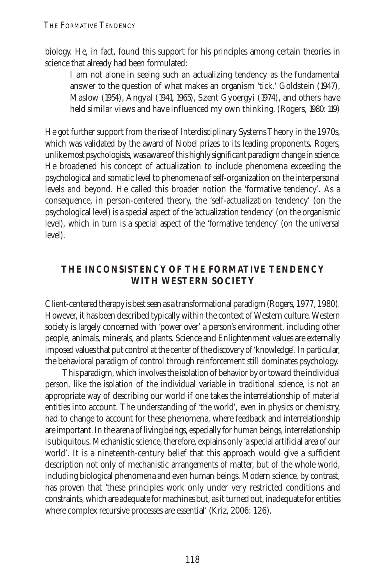biology. He, in fact, found this support for his principles among certain theories in science that already had been formulated:

I am not alone in seeing such an actualizing tendency as the fundamental answer to the question of what makes an organism 'tick.' Goldstein (1947), Maslow (1954), Angyal (1941, 1965), Szent Gyoergyi (1974), and others have held similar views and have influenced my own thinking. (Rogers, 1980: 119)

He got further support from the rise of Interdisciplinary Systems Theory in the 1970s, which was validated by the award of Nobel prizes to its leading proponents. Rogers, unlike most psychologists, was aware of this highly significant paradigm change in science. He broadened his concept of actualization to include phenomena exceeding the psychological and somatic level to phenomena of self-organization on the interpersonal levels and beyond. He called this broader notion the 'formative tendency'. As a consequence, in person-centered theory, the 'self-actualization tendency' (on the psychological level) is a special aspect of the 'actualization tendency' (on the organismic level), which in turn is a special aspect of the 'formative tendency' (on the universal level).

## **THE INCONSISTENCY OF THE FORMATIVE TENDENCY WITH WESTERN SOCIETY**

Client-centered therapy is best seen as a transformational paradigm (Rogers, 1977, 1980). However, it has been described typically within the context of Western culture. Western society is largely concerned with 'power over' a person's environment, including other people, animals, minerals, and plants. Science and Enlightenment values are externally imposed values that put control at the center of the discovery of 'knowledge'. In particular, the behavioral paradigm of control through reinforcement still dominates psychology.

This paradigm, which involves the isolation of behavior by or toward the individual person, like the isolation of the individual variable in traditional science, is not an appropriate way of describing our world if one takes the interrelationship of material entities into account. The understanding of 'the world', even in physics or chemistry, had to change to account for these phenomena, where feedback and interrelationship are important. In the arena of living beings, especially for human beings, interrelationship is ubiquitous. Mechanistic science, therefore, explains only 'a special artificial area of our world'. It is a nineteenth-century belief that this approach would give a sufficient description not only of mechanistic arrangements of matter, but of the whole world, including biological phenomena and even human beings. Modern science, by contrast, has proven that 'these principles work only under very restricted conditions and constraints, which are adequate for machines but, as it turned out, inadequate for entities where complex recursive processes are essential' (Kriz, 2006: 126).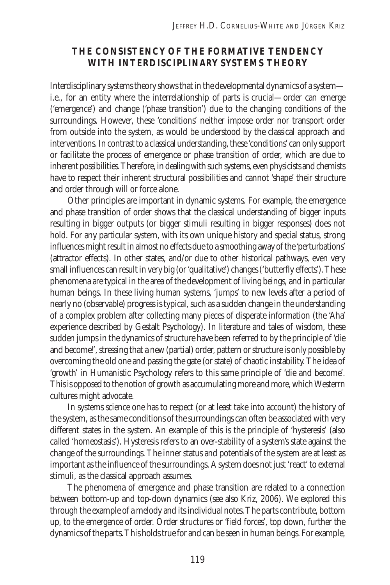#### **THE CONSISTENCY OF THE FORMATIVE TENDENCY WITH INTERDISCIPLINARY SYSTEMS THEORY**

Interdisciplinary systems theory shows that in the developmental dynamics of a system i.e., for an entity where the interrelationship of parts is crucial—order can emerge ('emergence') and change ('phase transition') due to the changing conditions of the surroundings. However, these 'conditions' neither impose order nor transport order from outside into the system, as would be understood by the classical approach and interventions. In contrast to a classical understanding, these 'conditions' can only support or facilitate the process of emergence or phase transition of order, which are due to inherent possibilities. Therefore, in dealing with such systems, even physicists and chemists have to respect their inherent structural possibilities and cannot 'shape' their structure and order through will or force alone.

Other principles are important in dynamic systems. For example, the emergence and phase transition of order shows that the classical understanding of bigger inputs resulting in bigger outputs (or bigger stimuli resulting in bigger responses) does not hold. For any particular system, with its own unique history and special status, strong influences might result in almost no effects due to a smoothing away of the 'perturbations' (attractor effects). In other states, and/or due to other historical pathways, even very small influences can result in very big (or 'qualitative') changes ('butterfly effects'). These phenomena are typical in the area of the development of living beings, and in particular human beings. In these living human systems, 'jumps' to new levels after a period of nearly no (observable) progress is typical, such as a sudden change in the understanding of a complex problem after collecting many pieces of disperate information (the 'Aha' experience described by Gestalt Psychology). In literature and tales of wisdom, these sudden jumps in the dynamics of structure have been referred to by the principle of 'die and become!', stressing that a new (partial) order, pattern or structure is only possible by overcoming the old one and passing the gate (or state) of chaotic instability. The idea of 'growth' in Humanistic Psychology refers to this same principle of 'die and become'. This is opposed to the notion of growth as accumulating more and more, which Westerrn cultures might advocate.

In systems science one has to respect (or at least take into account) the history of the system, as the same conditions of the surroundings can often be associated with very different states in the system. An example of this is the principle of 'hysteresis' (also called 'homeostasis'). Hysteresis refers to an over-stability of a system's state against the change of the surroundings. The inner status and potentials of the system are at least as important as the influence of the surroundings. A system does not just 'react' to external stimuli, as the classical approach assumes.

The phenomena of emergence and phase transition are related to a connection between bottom-up and top-down dynamics (see also Kriz, 2006). We explored this through the example of a melody and its individual notes. The parts contribute, bottom up, to the emergence of order. Order structures or 'field forces', top down, further the dynamics of the parts. This holds true for and can be seen in human beings. For example,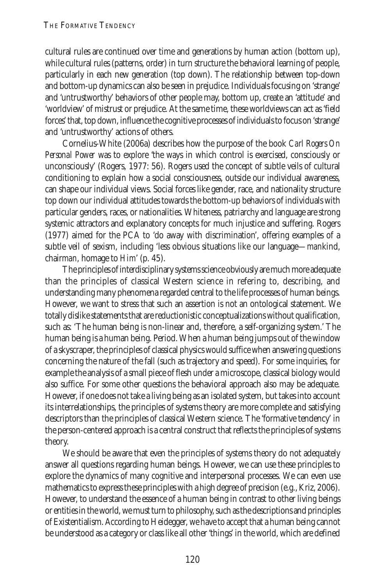cultural rules are continued over time and generations by human action (bottom up), while cultural rules (patterns, order) in turn structure the behavioral learning of people, particularly in each new generation (top down). The relationship between top-down and bottom-up dynamics can also be seen in prejudice. Individuals focusing on 'strange' and 'untrustworthy' behaviors of other people may, bottom up, create an 'attitude' and 'worldview' of mistrust or prejudice. At the same time, these worldviews can act as 'field forces' that, top down, influence the cognitive processes of individuals to focus on 'strange' and 'untrustworthy' actions of others.

Cornelius-White (2006a) describes how the purpose of the book *Carl Rogers On Personal Power* was to explore 'the ways in which control is exercised, consciously or unconsciously' (Rogers, 1977: 56). Rogers used the concept of subtle veils of cultural conditioning to explain how a social consciousness, outside our individual awareness, can shape our individual views. Social forces like gender, race, and nationality structure top down our individual attitudes towards the bottom-up behaviors of individuals with particular genders, races, or nationalities. Whiteness, patriarchy and language are strong systemic attractors and explanatory concepts for much injustice and suffering. Rogers (1977) aimed for the PCA to 'do away with discrimination', offering examples of a subtle veil of sexism, including 'less obvious situations like our language—*man*kind, chair*man*, homage to *Him*' (p. 45).

The principles of interdisciplinary systems science obviously are much more adequate than the principles of classical Western science in refering to, describing, and understanding many phenomena regarded central to the life processes of human beings. However, we want to stress that such an assertion is not an ontological statement. We totally dislike statements that are reductionistic conceptualizations without qualification, such as: 'The human being is non-linear and, therefore, a self-organizing system.' The human being is a human being. Period. When a human being jumps out of the window of a skyscraper, the principles of classical physics would suffice when answering questions concerning the nature of the fall (such as trajectory and speed). For some inquiries, for example the analysis of a small piece of flesh under a microscope, classical biology would also suffice. For some other questions the behavioral approach also may be adequate. However, if one does not take a living being as an isolated system, but takes into account its interrelationships, the principles of systems theory are more complete and satisfying descriptors than the principles of classical Western science. The 'formative tendency' in the person-centered approach is a central construct that reflects the principles of systems theory.

We should be aware that even the principles of systems theory do not adequately answer all questions regarding human beings. However, we can use these principles to explore the dynamics of many cognitive and interpersonal processes. We can even use mathematics to express these principles with a high degree of precision (e.g., Kriz, 2006). However, to understand the essence of a human being in contrast to other living beings or entities in the world, we must turn to philosophy, such as the descriptions and principles of Existentialism. According to Heidegger, we have to accept that a human being cannot be understood as a category or class like all other 'things' in the world, which are defined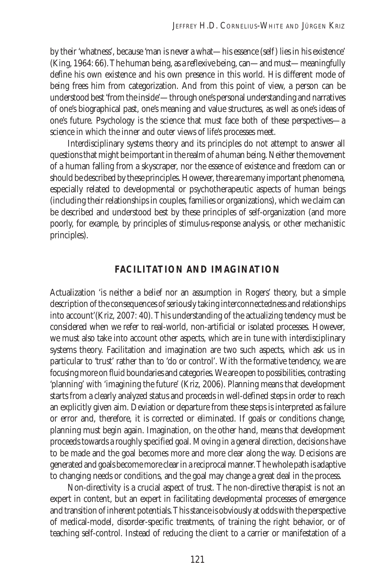by their 'whatness', because 'man is never a what—his essence (self) lies in his existence' (King, 1964: 66). The human being, as a reflexive being, can—and must—meaningfully define his own existence and his own presence in this world. His different mode of being frees him from categorization. And from this point of view, a person can be understood best 'from the inside'—through one's personal understanding and narratives of one's biographical past, one's meaning and value structures, as well as one's ideas of one's future. Psychology is the science that must face both of these perspectives—a science in which the inner and outer views of life's processes meet.

Interdisciplinary systems theory and its principles do not attempt to answer all questions that might be important in the realm of a human being. Neither the movement of a human falling from a skyscraper, nor the essence of existence and freedom can or should be described by these principles. However, there are many important phenomena, especially related to developmental or psychotherapeutic aspects of human beings (including their relationships in couples, families or organizations), which we claim can be described and understood best by these principles of self-organization (and more poorly, for example, by principles of stimulus-response analysis, or other mechanistic principles).

#### **FACILITATION AND IMAGINATION**

Actualization 'is neither a belief nor an assumption in Rogers' theory, but a simple description of the consequences of seriously taking interconnectedness and relationships into account'(Kriz, 2007: 40). This understanding of the actualizing tendency must be considered when we refer to real-world, non-artificial or isolated processes. However, we must also take into account other aspects, which are in tune with interdisciplinary systems theory. Facilitation and imagination are two such aspects, which ask us in particular to 'trust' rather than to 'do or control'. With the formative tendency, we are focusing more on fluid boundaries and categories. We are open to possibilities, contrasting 'planning' with 'imagining the future' (Kriz, 2006). Planning means that development starts from a clearly analyzed status and proceeds in well-defined steps in order to reach an explicitly given aim. Deviation or departure from these steps is interpreted as failure or error and, therefore, it is corrected or eliminated. If goals or conditions change, planning must begin again. Imagination, on the other hand, means that development proceeds towards a roughly specified goal. Moving in a general direction, decisions have to be made and the goal becomes more and more clear along the way. Decisions are generated and goals become more clear in a reciprocal manner. The whole path is adaptive to changing needs or conditions, and the goal may change a great deal in the process.

Non-directivity is a crucial aspect of trust. The non-directive therapist is not an expert in content, but an expert in facilitating developmental processes of emergence and transition of inherent potentials. This stance is obviously at odds with the perspective of medical-model, disorder-specific treatments, of training the right behavior, or of teaching self-control. Instead of reducing the client to a carrier or manifestation of a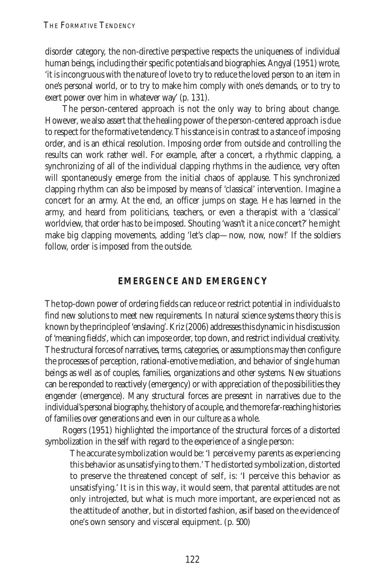disorder category, the non-directive perspective respects the uniqueness of individual human beings, including their specific potentials and biographies. Angyal (1951) wrote, 'it is incongruous with the nature of love to try to reduce the loved person to an item in one's personal world, or to try to make him comply with one's demands, or to try to exert power over him in whatever way' (p. 131).

The person-centered approach is not the only way to bring about change. However, we also assert that the healing power of the person-centered approach is due to respect for the formative tendency. This stance is in contrast to a stance of imposing order, and is an ethical resolution. Imposing order from outside and controlling the results can work rather well. For example, after a concert, a rhythmic clapping, a synchronizing of all of the individual clapping rhythms in the audience, very often will spontaneously emerge from the initial chaos of applause. This synchronized clapping rhythm can also be imposed by means of 'classical' intervention. Imagine a concert for an army. At the end, an officer jumps on stage. He has learned in the army, and heard from politicians, teachers, or even a therapist with a 'classical' worldview, that order has to be imposed. Shouting 'wasn't it a nice concert?' he might make big clapping movements, adding 'let's clap—now, now, now!' If the soldiers follow, order is imposed from the outside.

#### **EMERGENCE AND EMERGENCY**

The top-down power of ordering fields can reduce or restrict potential in individuals to find new solutions to meet new requirements. In natural science systems theory this is known by the principle of 'enslaving'. Kriz (2006) addresses this dynamic in his discussion of 'meaning fields', which can impose order, top down, and restrict individual creativity. The structural forces of narratives, terms, categories, or assumptions may then configure the processes of perception, rational-emotive mediation, and behavior of single human beings as well as of couples, families, organizations and other systems. New situations can be responded to reactively (emergency) or with appreciation of the possibilities they engender (emergence). Many structural forces are presesnt in narratives due to the individual's personal biography, the history of a couple, and the more far-reaching histories of families over generations and even in our culture as a whole.

Rogers (1951) highlighted the importance of the structural forces of a distorted symbolization in the self with regard to the experience of a single person:

The accurate symbolization would be: 'I perceive my parents as experiencing this behavior as unsatisfying to them.' The distorted symbolization, distorted to preserve the threatened concept of self, is: '*I* perceive this behavior as unsatisfying.' It is in this way, it would seem, that parental attitudes are not only introjected, but what is much more important, are experienced not as the attitude of another, but in distorted fashion, *as if* based on the evidence of one's own sensory and visceral equipment. (p. 500)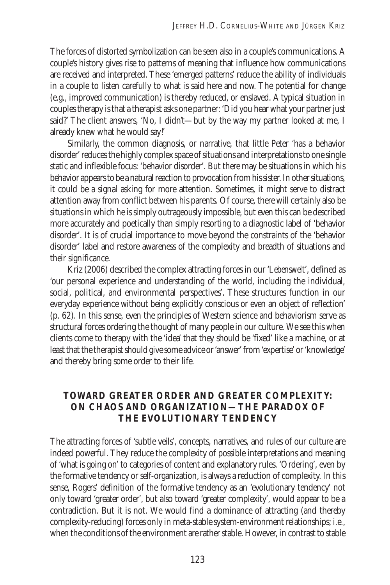The forces of distorted symbolization can be seen also in a couple's communications. A couple's history gives rise to patterns of meaning that influence how communications are received and interpreted. These 'emerged patterns' reduce the ability of individuals in a couple to listen carefully to what is said here and now. The potential for change (e.g., improved communication) is thereby reduced, or enslaved. A typical situation in couples therapy is that a therapist asks one partner: 'Did you hear what your partner just said?' The client answers, 'No, I didn't—but by the way my partner looked at me, I already knew what he would say!'

Similarly, the common diagnosis, or narrative, that little Peter 'has a behavior disorder' reduces the highly complex space of situations and interpretations to one single static and inflexible focus: 'behavior disorder'. But there may be situations in which his behavior appears to be a natural reaction to provocation from his sister. In other situations, it could be a signal asking for more attention. Sometimes, it might serve to distract attention away from conflict between his parents. Of course, there will certainly also be situations in which he is simply outrageously impossible, but even this can be described more accurately and poetically than simply resorting to a diagnostic label of 'behavior disorder'. It is of crucial importance to move beyond the constraints of the 'behavior disorder' label and restore awareness of the complexity and breadth of situations and their significance.

Kriz (2006) described the complex attracting forces in our '*Lebenswelt*', defined as 'our personal experience and understanding of the world, including the individual, social, political, and environmental perspectives'. These structures function in our everyday experience without being explicitly conscious or even an object of reflection' (p. 62). In this sense, even the principles of Western science and behaviorism serve as structural forces ordering the thought of many people in our culture. We see this when clients come to therapy with the 'idea' that they should be 'fixed' like a machine, or at least that the therapist should give some advice or 'answer' from 'expertise' or 'knowledge' and thereby bring some order to their life.

### **TOWARD GREATER ORDER AND GREATER COMPLEXITY: ON CHAOS AND ORGANIZATION—THE PARADOX OF THE EVOLUTIONARY TENDENCY**

The attracting forces of 'subtle veils', concepts, narratives, and rules of our culture are indeed powerful. They reduce the complexity of possible interpretations and meaning of 'what is going on' to categories of content and explanatory rules. 'Ordering', even by the formative tendency or self-organization, is always a reduction of complexity. In this sense, Rogers' definition of the formative tendency as an 'evolutionary tendency' not only toward 'greater order', but also toward 'greater complexity', would appear to be a contradiction. But it is not. We would find a dominance of attracting (and thereby complexity-reducing) forces only in meta-stable system-environment relationships; i.e., when the conditions of the environment are rather stable. However, in contrast to stable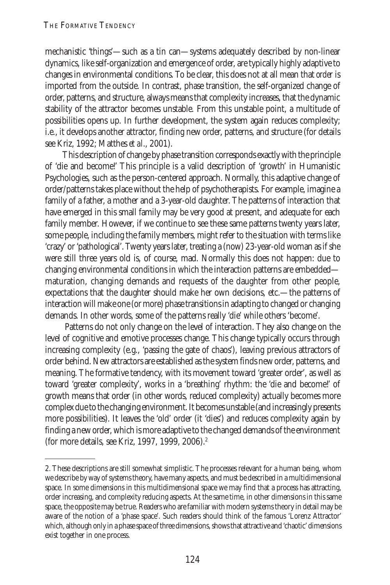mechanistic 'things'—such as a tin can—systems adequately described by non-linear dynamics, like self-organization and emergence of order, are typically highly adaptive to changes in environmental conditions. To be clear, this does not at all mean that *order* is imported from the outside. In contrast, phase transition, the self-organized change of order, patterns, and structure, always means that complexity increases, that the dynamic stability of the attractor becomes unstable. From this unstable point, a multitude of possibilities opens up. In further development, the system again reduces complexity; i.e., it develops another attractor, finding new order, patterns, and structure (for details see Kriz, 1992; Matthes *et al*., 2001).

This description of change by phase transition corresponds exactly with the principle of 'die and become!' This principle is a valid description of 'growth' in Humanistic Psychologies, such as the person-centered approach. Normally, this adaptive change of order/patterns takes place without the help of psychotherapists. For example, imagine a family of a father, a mother and a 3-year-old daughter. The patterns of interaction that have emerged in this small family may be very good at present, and adequate for each family member. However, if we continue to see these same patterns twenty years later, some people, including the family members, might refer to the situation with terms like 'crazy' or 'pathological'. Twenty years later, treating a (now) 23-year-old woman as if she were still three years old is, of course, mad. Normally this does not happen: due to changing environmental conditions in which the interaction patterns are embedded maturation, changing demands and requests of the daughter from other people, expectations that the daughter should make her own decisions, etc.—the patterns of interaction will make one (or more) phase transitions in adapting to changed or changing demands. In other words, some of the patterns really 'die' while others 'become'.

 Patterns do not only change on the level of interaction. They also change on the level of cognitive and emotive processes change. This change typically occurs through increasing complexity (e.g., 'passing the gate of chaos'), leaving previous attractors of order behind. New attractors are established as the system finds new order, patterns, and meaning. The formative tendency, with its movement toward 'greater order', as well as toward 'greater complexity', works in a 'breathing' rhythm: the 'die and become!' of growth means that order (in other words, reduced complexity) actually becomes more complex due to the changing environment. It becomes unstable (and increasingly presents more possibilities). It leaves the 'old' order (it 'dies') and reduces complexity again by finding a new order, which is more adaptive to the changed demands of the environment (for more details, see Kriz, 1997, 1999, 2006).2

<sup>2.</sup> These descriptions are still somewhat simplistic. The processes relevant for a human being, whom we describe by way of systems theory, have many aspects, and must be described in a multidimensional space. In some dimensions in this multidimensional space we may find that a process has attracting, order increasing, and complexity reducing aspects. At the same time, in other dimensions in this same space, the opposite may be true. Readers who are familiar with modern systems theory in detail may be aware of the notion of a 'phase space'. Such readers should think of the famous 'Lorenz Attractor' which, although only in a phase space of three dimensions, shows that attractive and 'chaotic' dimensions exist together in one process.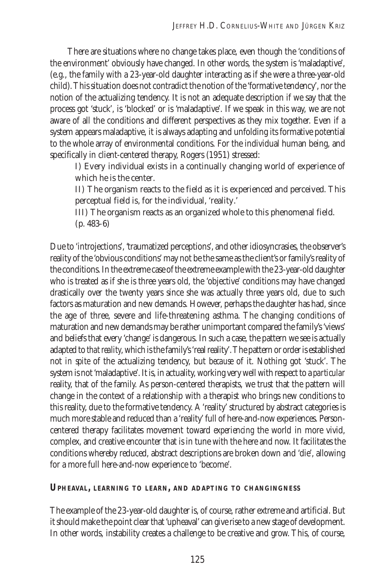There are situations where no change takes place, even though the 'conditions of the environment' obviously have changed. In other words, the system is 'maladaptive', (e.g., the family with a 23-year-old daughter interacting as if she were a three-year-old child). This situation does not contradict the notion of the 'formative tendency', nor the notion of the actualizing tendency. It is not an adequate description if we say that the process got 'stuck', is 'blocked' or is 'maladaptive'. If we speak in this way, we are not aware of all the conditions and different perspectives as they mix together. Even if a system appears maladaptive, it is always adapting and unfolding its formative potential to the whole array of environmental conditions. For the individual human being, and specifically in client-centered therapy, Rogers (1951) stressed:

I) Every individual exists in a continually changing world of experience of which he is the center.

II) The organism reacts to the field as it is experienced and perceived. This perceptual field is, for the individual, 'reality.'

III) The organism reacts as an organized whole to this phenomenal field. (p. 483–6)

Due to 'introjections', 'traumatized perceptions', and other idiosyncrasies, the observer's reality of the 'obvious conditions' may not be the same as the client's or family's reality of the conditions. In the extreme case of the extreme example with the 23-year-old daughter who is treated as if she is three years old, the 'objective' conditions may have changed drastically over the twenty years since she was actually three years old, due to such factors as maturation and new demands. However, perhaps the daughter has had, since the age of three, severe and life-threatening asthma. The changing conditions of maturation and new demands may be rather unimportant compared the family's 'views' and beliefs that every 'change' is dangerous. In such a case, the pattern we see is actually adapted to *that reality*, which is the family's 'real reality'. The pattern or order is established not *in spite* of the actualizing tendency, but *because* of it. Nothing got 'stuck'. The system is not 'maladaptive'. It is, in actuality, working very well with respect to a *particular* reality, that of the family. As person-centered therapists, we trust that the pattern will change in the context of a relationship with a therapist who brings new conditions to this reality, due to the formative tendency. A 'reality' structured by abstract categories is much more stable and reduced than a 'reality' full of here-and-now experiences. Personcentered therapy facilitates movement toward *experiencing* the world in more vivid, complex, and creative encounter that is in tune with the here and now. It facilitates the conditions whereby reduced, abstract descriptions are broken down and 'die', allowing for a more full here-and-now experience to 'become'.

**UPHEAVAL, LEARNING TO LEARN, AND ADAPTING TO CHANGINGNESS**

The example of the 23-year-old daughter is, of course, rather extreme and artificial. But it should make the point clear that 'upheaval' can give rise to a new stage of development. In other words, instability creates a challenge to be creative and grow. This, of course,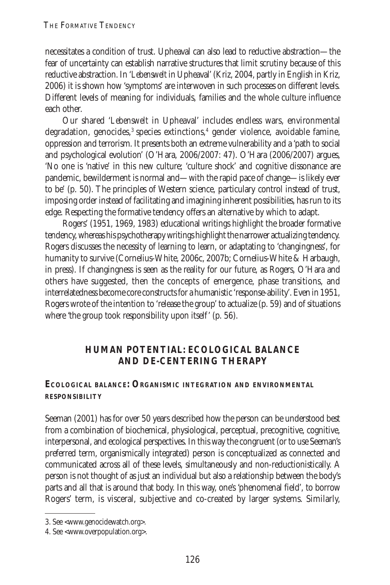necessitates a condition of trust. Upheaval can also lead to reductive abstraction—the fear of uncertainty can establish narrative structures that limit scrutiny because of this reductive abstraction. In '*Lebenswelt* in Upheaval' (Kriz, 2004, partly in English in Kriz, 2006) it is shown how 'symptoms' are interwoven in such processes on different levels. Different levels of meaning for individuals, families and the whole culture influence each other.

Our shared '*Lebenswelt* in Upheaval' includes endless wars, environmental degradation, genocides,<sup>3</sup> species extinctions,<sup>4</sup> gender violence, avoidable famine, oppression and terrorism. It presents both an extreme vulnerability and a 'path to social and psychological evolution' (O'Hara, 2006/2007: 47). O'Hara (2006/2007) argues, 'No one is 'native' in this new culture; 'culture shock' and cognitive dissonance are pandemic, bewilderment is normal and—with the rapid pace of change—is likely ever to be' (p. 50). The principles of Western science, particulary control instead of trust, imposing order instead of facilitating and imagining inherent possibilities, has run to its edge. Respecting the formative tendency offers an alternative by which to adapt.

Rogers' (1951, 1969, 1983) educational writings highlight the broader formative tendency, whereas his psychotherapy writings highlight the narrower actualizing tendency. Rogers discusses the necessity of learning to learn, or adaptating to 'changingness', for humanity to survive (Cornelius-White, 2006c, 2007b; Cornelius-White & Harbaugh, in press). If changingness is seen as the reality for our future, as Rogers, O'Hara and others have suggested, then the concepts of emergence, phase transitions, and interrelatedness become core constructs for a humanistic 'response-ability'. Even in 1951, Rogers wrote of the intention to 'release the group' to actualize (p. 59) and of situations where 'the group took responsibility upon itself' (p. 56).

### **HUMAN POTENTIAL: ECOLOGICAL BALANCE AND DE-CENTERING THERAPY**

#### **ECOLOGICAL BALANCE: ORGANISMIC INTEGRATION AND ENVIRONMENTAL RESPONSIBILITY**

Seeman (2001) has for over 50 years described how the person can be understood best from a combination of biochemical, physiological, perceptual, precognitive, cognitive, interpersonal, and ecological perspectives. In this way the congruent (or to use Seeman's preferred term, organismically integrated) person is conceptualized as connected and communicated across all of these levels, simultaneously and non-reductionistically. A person is not thought of as just an individual but also a relationship between the body's parts and all that is around that body. In this way, one's 'phenomenal field', to borrow Rogers' term, is visceral, subjective and co-created by larger systems. Similarly,

<sup>3.</sup> See <www.genocidewatch.org>.

<sup>4.</sup> See <www.overpopulation.org>.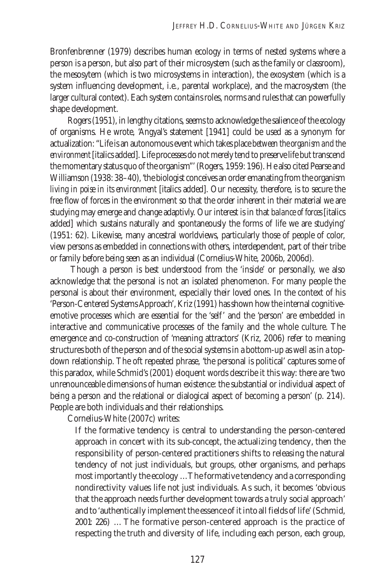Bronfenbrenner (1979) describes human ecology in terms of nested systems where a person is a person, but also part of their microsystem (such as the family or classroom), the mesosytem (which is two microsystems in interaction), the exosystem (which is a system influencing development, i.e., parental workplace), and the macrosystem (the larger cultural context). Each system contains roles, norms and rules that can powerfully shape development.

Rogers (1951), in lengthy citations, seems to acknowledge the salience of the ecology of organisms. He wrote, 'Angyal's statement [1941] could be used as a synonym for actualization: "Life is an autonomous event which takes place *between the organism and the environment* [italics added]. Life processes do not merely tend to preserve life but transcend the momentary status quo of the organism"' (Rogers, 1959: 196). He also cited Pearse and Williamson (1938: 38–40), 'the biologist conceives an order emanating from the organism *living in poise in its environment* [italics added]. Our necessity, therefore, is to secure the free flow of forces in the environment so that the order inherent in their material we are studying may emerge and change adaptivly. Our interest is in that *balance of forces* [italics added] which sustains naturally and spontaneously the forms of life we are studying' (1951: 62). Likewise, many ancestral worldviews, particularly those of people of color, view persons as embedded in connections with others, interdependent, part of their tribe or family before being seen as an individual (Cornelius-White, 2006b, 2006d).

 Though a person is best understood from the 'inside' or personally, we also acknowledge that the personal is not an isolated phenomenon. For many people the personal is about their environment, especially their loved ones. In the context of his 'Person-Centered Systems Approach', Kriz (1991) has shown how the internal cognitiveemotive processes which are essential for the 'self' and the 'person' are embedded in interactive and communicative processes of the family and the whole culture. The emergence and co-construction of 'meaning attractors' (Kriz, 2006) refer to meaning structures both of the person and of the social systems in a bottom-up as well as in a topdown relationship. The oft repeated phrase, 'the personal is political' captures some of this paradox, while Schmid's (2001) eloquent words describe it this way: there are 'two unrenounceable dimensions of human existence: the substantial or individual aspect of being a person and the relational or dialogical aspect of becoming a person' (p. 214). People are both individuals and their relationships.

Cornelius-White (2007c) writes:

If the formative tendency is central to understanding the person-centered approach in concert with its sub-concept, the actualizing tendency, then the responsibility of person-centered practitioners shifts to releasing the natural tendency of not just individuals, but groups, other organisms, and perhaps most importantly the ecology … The formative tendency and a corresponding nondirectivity values life not just individuals. As such, it becomes 'obvious that the approach needs further development towards a truly social approach' and to 'authentically implement the essence of it into all fields of life' (Schmid, 2001: 226) … The formative person-centered approach is the practice of respecting the truth and diversity of life, including each person, each group,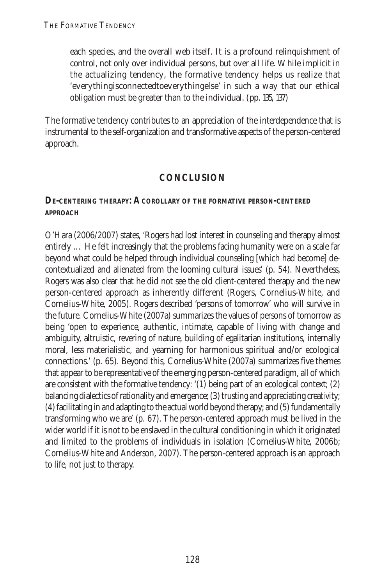each species, and the overall web itself. It is a profound relinquishment of control, not only over individual persons, but over all life. While implicit in the actualizing tendency, the formative tendency helps us realize that 'everythingisconnectedtoeverythingelse' in such a way that our ethical obligation must be greater than to the individual. (pp. 135, 137)

The formative tendency contributes to an appreciation of the interdependence that is instrumental to the self-organization and transformative aspects of the person-centered approach.

## **CONCLUSION**

#### **DE-CENTERING THERAPY: A COROLLARY OF THE FORMATIVE PERSON-CENTERED APPROACH**

O'Hara (2006/2007) states, 'Rogers had lost interest in counseling and therapy almost entirely … He felt increasingly that the problems facing humanity were on a scale far beyond what could be helped through individual counseling [which had become] decontextualized and alienated from the looming cultural issues' (p. 54). Nevertheless, Rogers was also clear that he did not see the old client-centered therapy and the new person-centered approach as inherently different (Rogers, Cornelius-White, and Cornelius-White, 2005). Rogers described 'persons of tomorrow' who will survive in the future. Cornelius-White (2007a) summarizes the values of persons of tomorrow as being 'open to experience, authentic, intimate, capable of living with change and ambiguity, altruistic, revering of nature, building of egalitarian institutions, internally moral, less materialistic, and yearning for harmonious spiritual and/or ecological connections.' (p. 65). Beyond this, Cornelius-White (2007a) summarizes five themes that appear to be representative of the emerging person-centered paradigm, all of which are consistent with the formative tendency: '(1) being part of an ecological context; (2) balancing dialectics of rationality and emergence; (3) trusting and appreciating creativity; (4) facilitating in and adapting to the actual world beyond therapy; and (5) fundamentally transforming who we are' (p. 67). The person-centered approach must be lived in the wider world if it is not to be enslaved in the cultural conditioning in which it originated and limited to the problems of individuals in isolation (Cornelius-White, 2006b; Cornelius-White and Anderson, 2007). The person-centered approach is an approach to life, not just to therapy.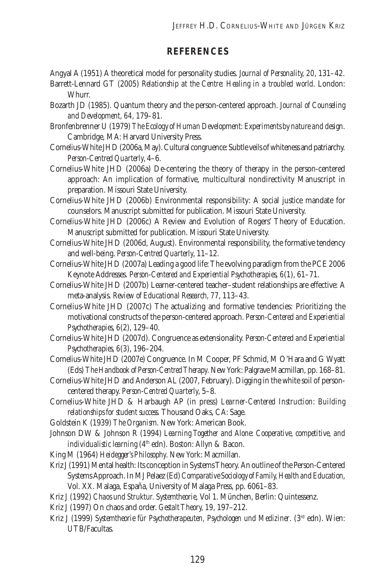#### **REFERENCES**

Angyal A (1951) A theoretical model for personality studies. *Journal of Personality, 20*, 131–42.

- Barrett-Lennard GT (2005) *Relationship at the Centre: Healing in a troubled world*. London: Whurr.
- Bozarth JD (1985). Quantum theory and the person-centered approach. *Journal of Counseling and Development, 64*, 179–81.
- Bronfenbrenner U (1979) *The Ecology of Human Development: Experiments by nature and design*. Cambridge, MA: Harvard University Press.
- Cornelius-White JHD (2006a, May). Cultural congruence: Subtle veils of whiteness and patriarchy. *Person-Centred Quarterly*, 4–6.
- Cornelius-White JHD (2006a) De-centering the theory of therapy in the person-centered approach: An implication of formative, multicultural nondirectivity Manuscript in preparation. Missouri State University.
- Cornelius-White JHD (2006b) Environmental responsibility: A social justice mandate for counselors. Manuscript submitted for publication. Missouri State University.
- Cornelius-White JHD (2006c) A Review and Evolution of Rogers' Theory of Education. Manuscript submitted for publication. Missouri State University.
- Cornelius-White JHD (2006d, August). Environmental responsibility, the formative tendency and well-being. *Person-Centred Quarterly*, 11–12.
- Cornelius-White JHD (2007a) Leading a good life: The evolving paradigm from the PCE 2006 Keynote Addresses. *Person-Centered and Experiential Psychotherapies*, *6*(1), 61–71.
- Cornelius-White JHD (2007b) Learner-centered teacher–student relationships are effective: A meta-analysis. *Review of Educational Research, 77*, 113–43.
- Cornelius-White JHD (2007c) The actualizing and formative tendencies: Prioritizing the motivational constructs of the person-centered approach. *Person-Centered and Experiential Psychotherapies*, *6*(2), 129–40.
- Cornelius-White JHD (2007d). Congruence as extensionality. *Person-Centered and Experiential Psychotherapies, 6*(3), 196–204.
- Cornelius-White JHD (2007e) Congruence. In M Cooper, PF Schmid, M O'Hara and G Wyatt (Eds) *The Handbook of Person-Centred Therapy*. New York: Palgrave Macmillan, pp. 168–81.
- Cornelius-White JHD and Anderson AL (2007, February). Digging in the white soil of personcentered therapy. *Person-Centred Quarterly*, 5–8.
- Cornelius-White JHD & Harbaugh AP (in press) *Learner-Centered Instruction: Building relationships for student success.* Thousand Oaks, CA: Sage.
- Goldstein K (1939) *The Organism*. New York: American Book.
- Johnson DW & Johnson R (1994) *Learning Together and Alone: Cooperative, competitive, and individualistic learning* (4<sup>th</sup> edn). Boston: Allyn & Bacon.
- King M (1964) *Heidegger's Philosophy*. New York: Macmillan.
- Kriz J (1991) Mental health: Its conception in Systems Theory. An outline of the Person-Centered Systems Approach. In MJ Pelaez (Ed) *Comparative Sociology of Family, Health and Education*, Vol. XX. Malaga, España, University of Malaga Press, pp. 6061–83.
- Kriz J (1992) *Chaos und Struktur. Systemtheorie,* Vol 1. München, Berlin: Quintessenz.
- Kriz J (1997) On chaos and order. *Gestalt Theory, 19*, 197–212.
- Kriz J (1999) *Systemtheorie für Psychotherapeuten, Psychologen und Mediziner*. (3<sup>rd</sup> edn). Wien: UTB/Facultas.